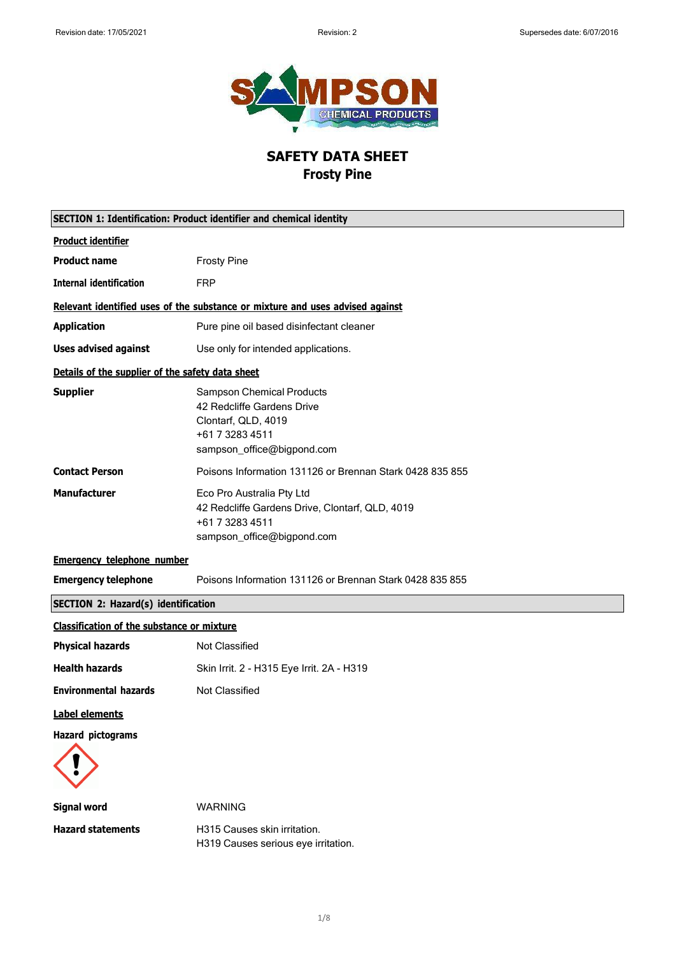

## **SAFETY DATA SHEET Frosty Pine**

|                                                   | <b>SECTION 1: Identification: Product identifier and chemical identity</b>                                                             |
|---------------------------------------------------|----------------------------------------------------------------------------------------------------------------------------------------|
| <b>Product identifier</b>                         |                                                                                                                                        |
| <b>Product name</b>                               | <b>Frosty Pine</b>                                                                                                                     |
| <b>Internal identification</b>                    | <b>FRP</b>                                                                                                                             |
|                                                   | Relevant identified uses of the substance or mixture and uses advised against                                                          |
| <b>Application</b>                                | Pure pine oil based disinfectant cleaner                                                                                               |
| <b>Uses advised against</b>                       | Use only for intended applications.                                                                                                    |
| Details of the supplier of the safety data sheet  |                                                                                                                                        |
| <b>Supplier</b>                                   | <b>Sampson Chemical Products</b><br>42 Redcliffe Gardens Drive<br>Clontarf, QLD, 4019<br>+61 7 3283 4511<br>sampson_office@bigpond.com |
| <b>Contact Person</b>                             | Poisons Information 131126 or Brennan Stark 0428 835 855                                                                               |
| <b>Manufacturer</b>                               | Eco Pro Australia Pty Ltd<br>42 Redcliffe Gardens Drive, Clontarf, QLD, 4019<br>+61 7 3283 4511<br>sampson_office@bigpond.com          |
| <b>Emergency telephone number</b>                 |                                                                                                                                        |
| <b>Emergency telephone</b>                        | Poisons Information 131126 or Brennan Stark 0428 835 855                                                                               |
| <b>SECTION 2: Hazard(s) identification</b>        |                                                                                                                                        |
| <b>Classification of the substance or mixture</b> |                                                                                                                                        |
| <b>Physical hazards</b>                           | <b>Not Classified</b>                                                                                                                  |
| <b>Health hazards</b>                             | Skin Irrit. 2 - H315 Eye Irrit. 2A - H319                                                                                              |
| <b>Environmental hazards</b>                      | <b>Not Classified</b>                                                                                                                  |
| Label elements                                    |                                                                                                                                        |
| <b>Hazard pictograms</b>                          |                                                                                                                                        |
| <b>Signal word</b>                                | <b>WARNING</b>                                                                                                                         |
| <b>Hazard statements</b>                          | H315 Causes skin irritation.<br>H319 Causes serious eye irritation.                                                                    |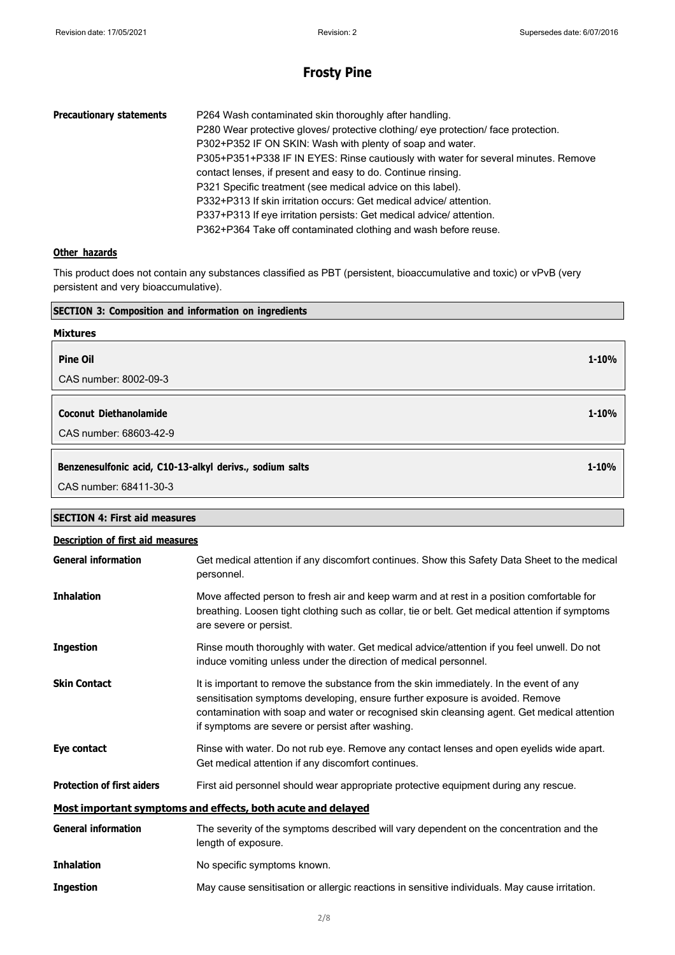**1-10%**

**1-10%**

**1-10%**

## **Frosty Pine**

| <b>Precautionary statements</b> | P264 Wash contaminated skin thoroughly after handling.<br>P280 Wear protective gloves/ protective clothing/ eye protection/ face protection.<br>P302+P352 IF ON SKIN: Wash with plenty of soap and water.<br>P305+P351+P338 IF IN EYES: Rinse cautiously with water for several minutes. Remove<br>contact lenses, if present and easy to do. Continue rinsing.<br>P321 Specific treatment (see medical advice on this label).<br>P332+P313 If skin irritation occurs: Get medical advice/attention.<br>P337+P313 If eye irritation persists: Get medical advice/attention. |
|---------------------------------|-----------------------------------------------------------------------------------------------------------------------------------------------------------------------------------------------------------------------------------------------------------------------------------------------------------------------------------------------------------------------------------------------------------------------------------------------------------------------------------------------------------------------------------------------------------------------------|
|                                 | P362+P364 Take off contaminated clothing and wash before reuse.                                                                                                                                                                                                                                                                                                                                                                                                                                                                                                             |

#### **Other hazards**

**SECTION 4: First aid measures**

This product does not contain any substances classified as PBT (persistent, bioaccumulative and toxic) or vPvB (very persistent and very bioaccumulative).

| <b>SECTION 3: Composition and information on ingredients</b> |  |
|--------------------------------------------------------------|--|
| <b>Mixtures</b>                                              |  |
| <b>Pine Oil</b>                                              |  |
| CAS number: 8002-09-3                                        |  |
|                                                              |  |
| <b>Coconut Diethanolamide</b>                                |  |
| CAS number: 68603-42-9                                       |  |
|                                                              |  |
| Benzenesulfonic acid, C10-13-alkyl derivs., sodium salts     |  |
| CAS number: 68411-30-3                                       |  |

## **Description of first aid measures General information** Get medical attention if any discomfort continues. Show this Safety Data Sheet to the medical personnel. **Inhalation** Move affected person to fresh air and keep warm and at rest in a position comfortable for breathing. Loosen tight clothing such as collar, tie or belt. Get medical attention if symptoms are severe or persist. **Ingestion** Rinse mouth thoroughly with water. Get medical advice/attention if you feel unwell. Do not induce vomiting unless under the direction of medical personnel. **Skin Contact** It is important to remove the substance from the skin immediately. In the event of any sensitisation symptoms developing, ensure further exposure is avoided. Remove contamination with soap and water or recognised skin cleansing agent. Get medical attention if symptoms are severe or persist after washing. **Eye contact** Rinse with water. Do not rub eye. Remove any contact lenses and open eyelids wide apart. Get medical attention if any discomfort continues. **Protection of first aiders** First aid personnel should wear appropriate protective equipment during any rescue. **Most important symptoms and effects, both acute and delayed General information** The severity of the symptoms described will vary dependent on the concentration and the length of exposure. **Inhalation** No specific symptoms known. **Ingestion** May cause sensitisation or allergic reactions in sensitive individuals. May cause irritation.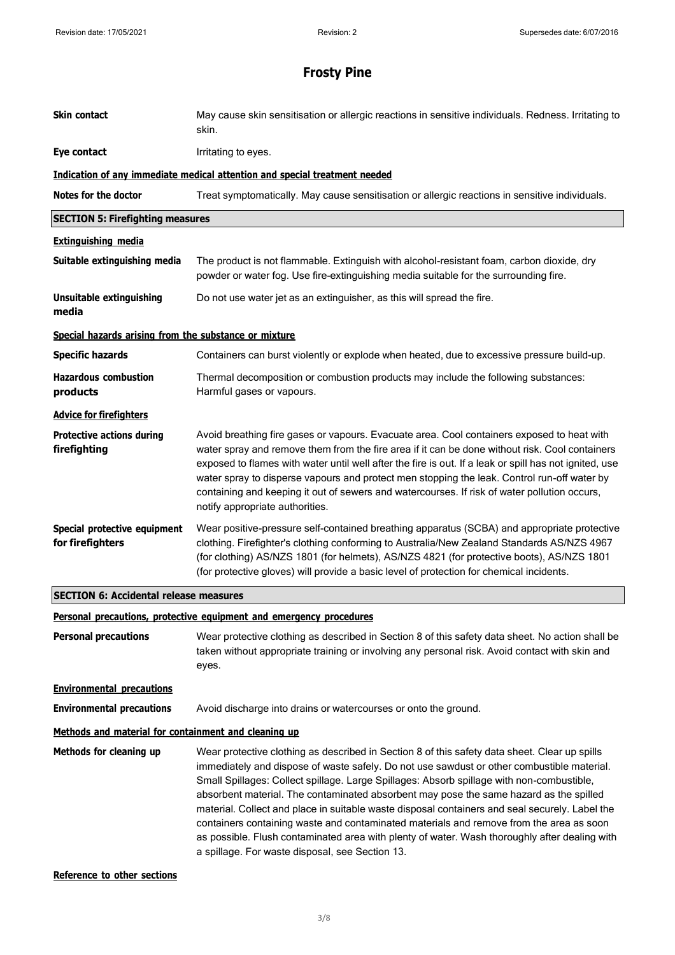| Skin contact                                          | May cause skin sensitisation or allergic reactions in sensitive individuals. Redness. Irritating to<br>skin.                                                                                                                                                                                                                                                                                                                                                                                                                                                                                                                                                                                                                        |
|-------------------------------------------------------|-------------------------------------------------------------------------------------------------------------------------------------------------------------------------------------------------------------------------------------------------------------------------------------------------------------------------------------------------------------------------------------------------------------------------------------------------------------------------------------------------------------------------------------------------------------------------------------------------------------------------------------------------------------------------------------------------------------------------------------|
| Eye contact                                           | Irritating to eyes.                                                                                                                                                                                                                                                                                                                                                                                                                                                                                                                                                                                                                                                                                                                 |
|                                                       | Indication of any immediate medical attention and special treatment needed                                                                                                                                                                                                                                                                                                                                                                                                                                                                                                                                                                                                                                                          |
| Notes for the doctor                                  | Treat symptomatically. May cause sensitisation or allergic reactions in sensitive individuals.                                                                                                                                                                                                                                                                                                                                                                                                                                                                                                                                                                                                                                      |
| <b>SECTION 5: Firefighting measures</b>               |                                                                                                                                                                                                                                                                                                                                                                                                                                                                                                                                                                                                                                                                                                                                     |
| <b>Extinguishing media</b>                            |                                                                                                                                                                                                                                                                                                                                                                                                                                                                                                                                                                                                                                                                                                                                     |
| Suitable extinguishing media                          | The product is not flammable. Extinguish with alcohol-resistant foam, carbon dioxide, dry<br>powder or water fog. Use fire-extinguishing media suitable for the surrounding fire.                                                                                                                                                                                                                                                                                                                                                                                                                                                                                                                                                   |
| <b>Unsuitable extinguishing</b><br>media              | Do not use water jet as an extinguisher, as this will spread the fire.                                                                                                                                                                                                                                                                                                                                                                                                                                                                                                                                                                                                                                                              |
| Special hazards arising from the substance or mixture |                                                                                                                                                                                                                                                                                                                                                                                                                                                                                                                                                                                                                                                                                                                                     |
| <b>Specific hazards</b>                               | Containers can burst violently or explode when heated, due to excessive pressure build-up.                                                                                                                                                                                                                                                                                                                                                                                                                                                                                                                                                                                                                                          |
| <b>Hazardous combustion</b><br>products               | Thermal decomposition or combustion products may include the following substances:<br>Harmful gases or vapours.                                                                                                                                                                                                                                                                                                                                                                                                                                                                                                                                                                                                                     |
| <b>Advice for firefighters</b>                        |                                                                                                                                                                                                                                                                                                                                                                                                                                                                                                                                                                                                                                                                                                                                     |
| <b>Protective actions during</b><br>firefighting      | Avoid breathing fire gases or vapours. Evacuate area. Cool containers exposed to heat with<br>water spray and remove them from the fire area if it can be done without risk. Cool containers<br>exposed to flames with water until well after the fire is out. If a leak or spill has not ignited, use<br>water spray to disperse vapours and protect men stopping the leak. Control run-off water by<br>containing and keeping it out of sewers and watercourses. If risk of water pollution occurs,<br>notify appropriate authorities.                                                                                                                                                                                            |
| Special protective equipment<br>for firefighters      | Wear positive-pressure self-contained breathing apparatus (SCBA) and appropriate protective<br>clothing. Firefighter's clothing conforming to Australia/New Zealand Standards AS/NZS 4967<br>(for clothing) AS/NZS 1801 (for helmets), AS/NZS 4821 (for protective boots), AS/NZS 1801<br>(for protective gloves) will provide a basic level of protection for chemical incidents.                                                                                                                                                                                                                                                                                                                                                  |
| <b>SECTION 6: Accidental release measures</b>         |                                                                                                                                                                                                                                                                                                                                                                                                                                                                                                                                                                                                                                                                                                                                     |
|                                                       | Personal precautions, protective equipment and emergency procedures                                                                                                                                                                                                                                                                                                                                                                                                                                                                                                                                                                                                                                                                 |
| <b>Personal precautions</b>                           | Wear protective clothing as described in Section 8 of this safety data sheet. No action shall be<br>taken without appropriate training or involving any personal risk. Avoid contact with skin and<br>eyes.                                                                                                                                                                                                                                                                                                                                                                                                                                                                                                                         |
| <b>Environmental precautions</b>                      |                                                                                                                                                                                                                                                                                                                                                                                                                                                                                                                                                                                                                                                                                                                                     |
| <b>Environmental precautions</b>                      | Avoid discharge into drains or watercourses or onto the ground.                                                                                                                                                                                                                                                                                                                                                                                                                                                                                                                                                                                                                                                                     |
| Methods and material for containment and cleaning up  |                                                                                                                                                                                                                                                                                                                                                                                                                                                                                                                                                                                                                                                                                                                                     |
| Methods for cleaning up                               | Wear protective clothing as described in Section 8 of this safety data sheet. Clear up spills<br>immediately and dispose of waste safely. Do not use sawdust or other combustible material.<br>Small Spillages: Collect spillage. Large Spillages: Absorb spillage with non-combustible,<br>absorbent material. The contaminated absorbent may pose the same hazard as the spilled<br>material. Collect and place in suitable waste disposal containers and seal securely. Label the<br>containers containing waste and contaminated materials and remove from the area as soon<br>as possible. Flush contaminated area with plenty of water. Wash thoroughly after dealing with<br>a spillage. For waste disposal, see Section 13. |

**Reference to other sections**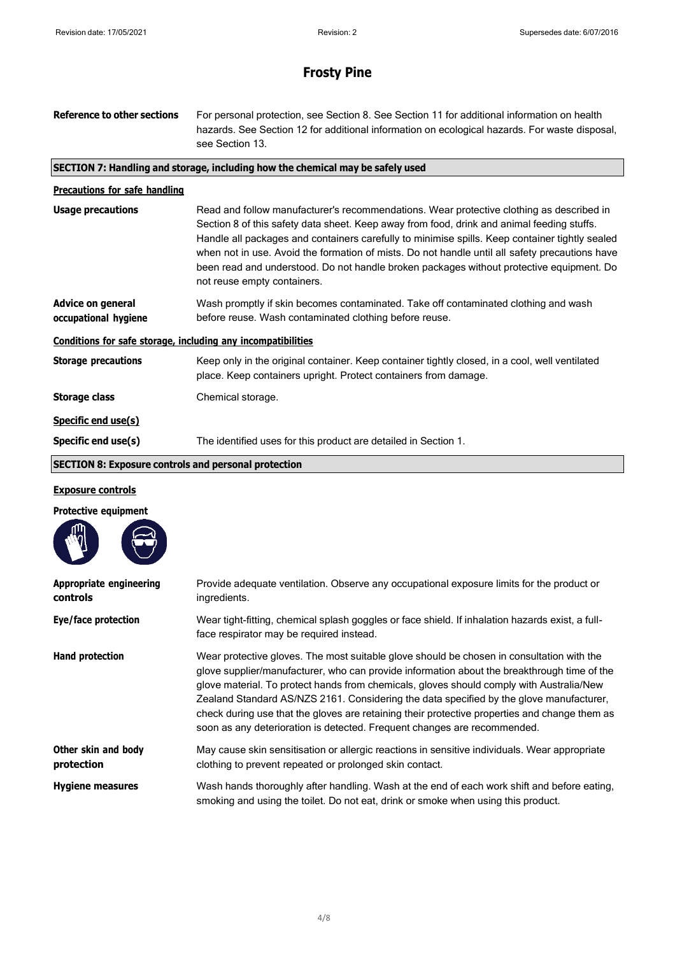| <b>Reference to other sections</b>                           | For personal protection, see Section 8. See Section 11 for additional information on health<br>hazards. See Section 12 for additional information on ecological hazards. For waste disposal,<br>see Section 13.                                                                                                                                                                                                                                                                                                       |
|--------------------------------------------------------------|-----------------------------------------------------------------------------------------------------------------------------------------------------------------------------------------------------------------------------------------------------------------------------------------------------------------------------------------------------------------------------------------------------------------------------------------------------------------------------------------------------------------------|
|                                                              | SECTION 7: Handling and storage, including how the chemical may be safely used                                                                                                                                                                                                                                                                                                                                                                                                                                        |
| <b>Precautions for safe handling</b>                         |                                                                                                                                                                                                                                                                                                                                                                                                                                                                                                                       |
| <b>Usage precautions</b>                                     | Read and follow manufacturer's recommendations. Wear protective clothing as described in<br>Section 8 of this safety data sheet. Keep away from food, drink and animal feeding stuffs.<br>Handle all packages and containers carefully to minimise spills. Keep container tightly sealed<br>when not in use. Avoid the formation of mists. Do not handle until all safety precautions have<br>been read and understood. Do not handle broken packages without protective equipment. Do<br>not reuse empty containers. |
| <b>Advice on general</b><br>occupational hygiene             | Wash promptly if skin becomes contaminated. Take off contaminated clothing and wash<br>before reuse. Wash contaminated clothing before reuse.                                                                                                                                                                                                                                                                                                                                                                         |
| Conditions for safe storage, including any incompatibilities |                                                                                                                                                                                                                                                                                                                                                                                                                                                                                                                       |
| <b>Storage precautions</b>                                   | Keep only in the original container. Keep container tightly closed, in a cool, well ventilated<br>place. Keep containers upright. Protect containers from damage.                                                                                                                                                                                                                                                                                                                                                     |
| <b>Storage class</b>                                         | Chemical storage.                                                                                                                                                                                                                                                                                                                                                                                                                                                                                                     |
| Specific end use(s)                                          |                                                                                                                                                                                                                                                                                                                                                                                                                                                                                                                       |
| Specific end use(s)                                          | The identified uses for this product are detailed in Section 1.                                                                                                                                                                                                                                                                                                                                                                                                                                                       |
| <b>SECTION 8: Exposure controls and personal protection</b>  |                                                                                                                                                                                                                                                                                                                                                                                                                                                                                                                       |
| <b>Exposure controls</b>                                     |                                                                                                                                                                                                                                                                                                                                                                                                                                                                                                                       |

### **Protective equipment**

| Appropriate engineering<br>controls | Provide adequate ventilation. Observe any occupational exposure limits for the product or<br>ingredients.                                                                                                                                                                                                                                                                                                                                                                                                                                                    |
|-------------------------------------|--------------------------------------------------------------------------------------------------------------------------------------------------------------------------------------------------------------------------------------------------------------------------------------------------------------------------------------------------------------------------------------------------------------------------------------------------------------------------------------------------------------------------------------------------------------|
| Eye/face protection                 | Wear tight-fitting, chemical splash goggles or face shield. If inhalation hazards exist, a full-<br>face respirator may be required instead.                                                                                                                                                                                                                                                                                                                                                                                                                 |
| Hand protection                     | Wear protective gloves. The most suitable glove should be chosen in consultation with the<br>glove supplier/manufacturer, who can provide information about the breakthrough time of the<br>glove material. To protect hands from chemicals, gloves should comply with Australia/New<br>Zealand Standard AS/NZS 2161. Considering the data specified by the glove manufacturer,<br>check during use that the gloves are retaining their protective properties and change them as<br>soon as any deterioration is detected. Frequent changes are recommended. |
| Other skin and body<br>protection   | May cause skin sensitisation or allergic reactions in sensitive individuals. Wear appropriate<br>clothing to prevent repeated or prolonged skin contact.                                                                                                                                                                                                                                                                                                                                                                                                     |
| <b>Hygiene measures</b>             | Wash hands thoroughly after handling. Wash at the end of each work shift and before eating,<br>smoking and using the toilet. Do not eat, drink or smoke when using this product.                                                                                                                                                                                                                                                                                                                                                                             |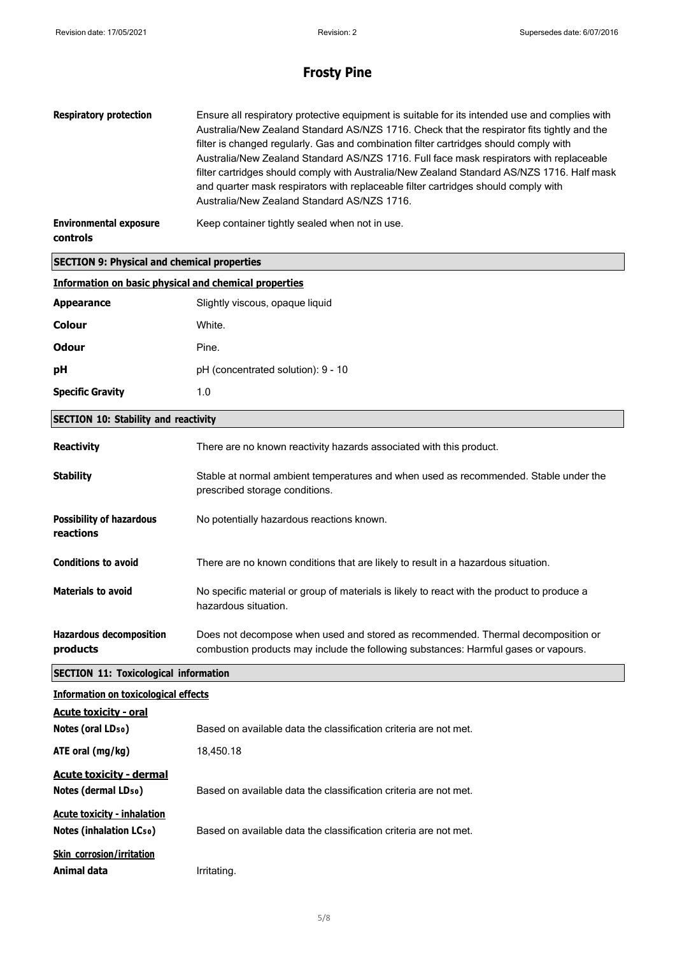| <b>Respiratory protection</b>                                      | Ensure all respiratory protective equipment is suitable for its intended use and complies with<br>Australia/New Zealand Standard AS/NZS 1716. Check that the respirator fits tightly and the<br>filter is changed regularly. Gas and combination filter cartridges should comply with<br>Australia/New Zealand Standard AS/NZS 1716. Full face mask respirators with replaceable<br>filter cartridges should comply with Australia/New Zealand Standard AS/NZS 1716. Half mask<br>and quarter mask respirators with replaceable filter cartridges should comply with<br>Australia/New Zealand Standard AS/NZS 1716. |
|--------------------------------------------------------------------|---------------------------------------------------------------------------------------------------------------------------------------------------------------------------------------------------------------------------------------------------------------------------------------------------------------------------------------------------------------------------------------------------------------------------------------------------------------------------------------------------------------------------------------------------------------------------------------------------------------------|
| <b>Environmental exposure</b><br>controls                          | Keep container tightly sealed when not in use.                                                                                                                                                                                                                                                                                                                                                                                                                                                                                                                                                                      |
| <b>SECTION 9: Physical and chemical properties</b>                 |                                                                                                                                                                                                                                                                                                                                                                                                                                                                                                                                                                                                                     |
| <b>Information on basic physical and chemical properties</b>       |                                                                                                                                                                                                                                                                                                                                                                                                                                                                                                                                                                                                                     |
| <b>Appearance</b>                                                  | Slightly viscous, opaque liquid                                                                                                                                                                                                                                                                                                                                                                                                                                                                                                                                                                                     |
| <b>Colour</b>                                                      | White.                                                                                                                                                                                                                                                                                                                                                                                                                                                                                                                                                                                                              |
| <b>Odour</b>                                                       | Pine.                                                                                                                                                                                                                                                                                                                                                                                                                                                                                                                                                                                                               |
| pH                                                                 | pH (concentrated solution): 9 - 10                                                                                                                                                                                                                                                                                                                                                                                                                                                                                                                                                                                  |
| <b>Specific Gravity</b>                                            | 1.0                                                                                                                                                                                                                                                                                                                                                                                                                                                                                                                                                                                                                 |
| <b>SECTION 10: Stability and reactivity</b>                        |                                                                                                                                                                                                                                                                                                                                                                                                                                                                                                                                                                                                                     |
| <b>Reactivity</b>                                                  | There are no known reactivity hazards associated with this product.                                                                                                                                                                                                                                                                                                                                                                                                                                                                                                                                                 |
| <b>Stability</b>                                                   | Stable at normal ambient temperatures and when used as recommended. Stable under the<br>prescribed storage conditions.                                                                                                                                                                                                                                                                                                                                                                                                                                                                                              |
| <b>Possibility of hazardous</b><br>reactions                       | No potentially hazardous reactions known.                                                                                                                                                                                                                                                                                                                                                                                                                                                                                                                                                                           |
| <b>Conditions to avoid</b>                                         | There are no known conditions that are likely to result in a hazardous situation.                                                                                                                                                                                                                                                                                                                                                                                                                                                                                                                                   |
| <b>Materials to avoid</b>                                          | No specific material or group of materials is likely to react with the product to produce a<br>hazardous situation.                                                                                                                                                                                                                                                                                                                                                                                                                                                                                                 |
| <b>Hazardous decomposition</b><br>products                         | Does not decompose when used and stored as recommended. Thermal decomposition or<br>combustion products may include the following substances: Harmful gases or vapours.                                                                                                                                                                                                                                                                                                                                                                                                                                             |
| <b>SECTION 11: Toxicological information</b>                       |                                                                                                                                                                                                                                                                                                                                                                                                                                                                                                                                                                                                                     |
| <b>Information on toxicological effects</b>                        |                                                                                                                                                                                                                                                                                                                                                                                                                                                                                                                                                                                                                     |
| <b>Acute toxicity - oral</b><br>Notes (oral LD <sub>50</sub> )     | Based on available data the classification criteria are not met.                                                                                                                                                                                                                                                                                                                                                                                                                                                                                                                                                    |
| ATE oral (mg/kg)                                                   | 18,450.18                                                                                                                                                                                                                                                                                                                                                                                                                                                                                                                                                                                                           |
| <b>Acute toxicity - dermal</b><br>Notes (dermal LD <sub>50</sub> ) | Based on available data the classification criteria are not met.                                                                                                                                                                                                                                                                                                                                                                                                                                                                                                                                                    |
| <b>Acute toxicity - inhalation</b><br>Notes (inhalation LCso)      | Based on available data the classification criteria are not met.                                                                                                                                                                                                                                                                                                                                                                                                                                                                                                                                                    |
| <b>Skin corrosion/irritation</b><br>Animal data                    | Irritating.                                                                                                                                                                                                                                                                                                                                                                                                                                                                                                                                                                                                         |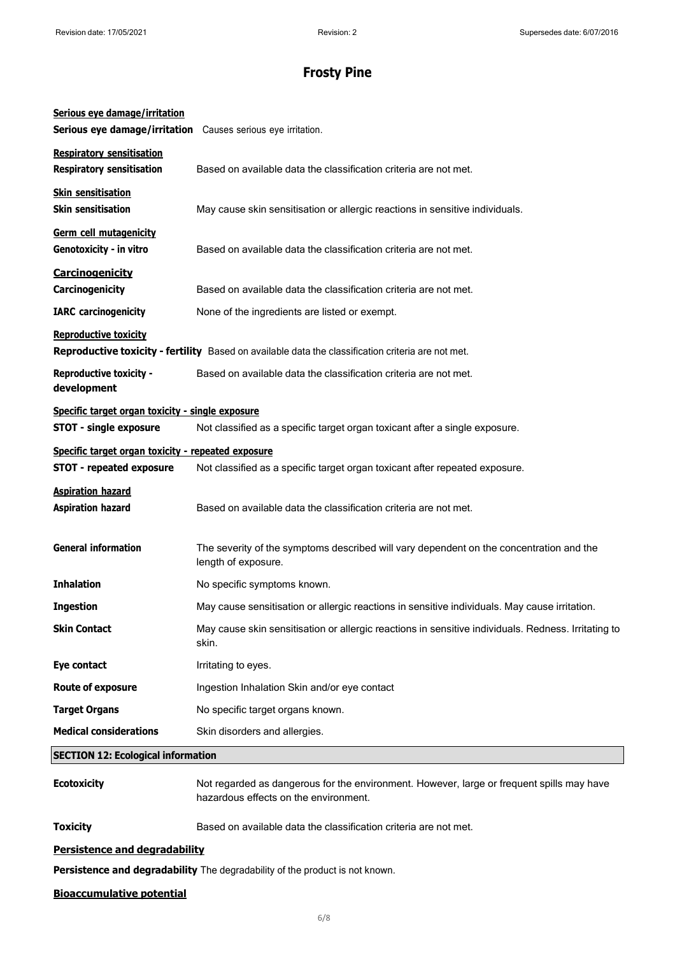| Serious eye damage/irritation<br>Serious eye damage/irritation Causes serious eye irritation.                                      |                                                                                                                                    |
|------------------------------------------------------------------------------------------------------------------------------------|------------------------------------------------------------------------------------------------------------------------------------|
| <b>Respiratory sensitisation</b><br><b>Respiratory sensitisation</b>                                                               | Based on available data the classification criteria are not met.                                                                   |
| <b>Skin sensitisation</b><br><b>Skin sensitisation</b>                                                                             | May cause skin sensitisation or allergic reactions in sensitive individuals.                                                       |
| <b>Germ cell mutagenicity</b><br>Genotoxicity - in vitro                                                                           | Based on available data the classification criteria are not met.                                                                   |
| Carcinogenicity<br>Carcinogenicity                                                                                                 | Based on available data the classification criteria are not met.                                                                   |
| <b>IARC</b> carcinogenicity                                                                                                        | None of the ingredients are listed or exempt.                                                                                      |
| <b>Reproductive toxicity</b><br>Reproductive toxicity - fertility Based on available data the classification criteria are not met. |                                                                                                                                    |
| <b>Reproductive toxicity -</b><br>development                                                                                      | Based on available data the classification criteria are not met.                                                                   |
| Specific target organ toxicity - single exposure                                                                                   |                                                                                                                                    |
| <b>STOT - single exposure</b>                                                                                                      | Not classified as a specific target organ toxicant after a single exposure.                                                        |
| Specific target organ toxicity - repeated exposure                                                                                 |                                                                                                                                    |
| <b>STOT - repeated exposure</b>                                                                                                    | Not classified as a specific target organ toxicant after repeated exposure.                                                        |
| <b>Aspiration hazard</b><br><b>Aspiration hazard</b>                                                                               | Based on available data the classification criteria are not met.                                                                   |
| <b>General information</b>                                                                                                         | The severity of the symptoms described will vary dependent on the concentration and the<br>length of exposure.                     |
| <b>Inhalation</b>                                                                                                                  | No specific symptoms known.                                                                                                        |
| <b>Ingestion</b>                                                                                                                   | May cause sensitisation or allergic reactions in sensitive individuals. May cause irritation.                                      |
| <b>Skin Contact</b>                                                                                                                | May cause skin sensitisation or allergic reactions in sensitive individuals. Redness. Irritating to<br>skin.                       |
| Eye contact                                                                                                                        | Irritating to eyes.                                                                                                                |
| <b>Route of exposure</b>                                                                                                           | Ingestion Inhalation Skin and/or eye contact                                                                                       |
| <b>Target Organs</b>                                                                                                               | No specific target organs known.                                                                                                   |
| <b>Medical considerations</b>                                                                                                      | Skin disorders and allergies.                                                                                                      |
| <b>SECTION 12: Ecological information</b>                                                                                          |                                                                                                                                    |
| <b>Ecotoxicity</b>                                                                                                                 | Not regarded as dangerous for the environment. However, large or frequent spills may have<br>hazardous effects on the environment. |

**Toxicity** Based on available data the classification criteria are not met.

### **Persistence and degradability**

**Persistence and degradability** The degradability of the product is not known.

#### **Bioaccumulative potential**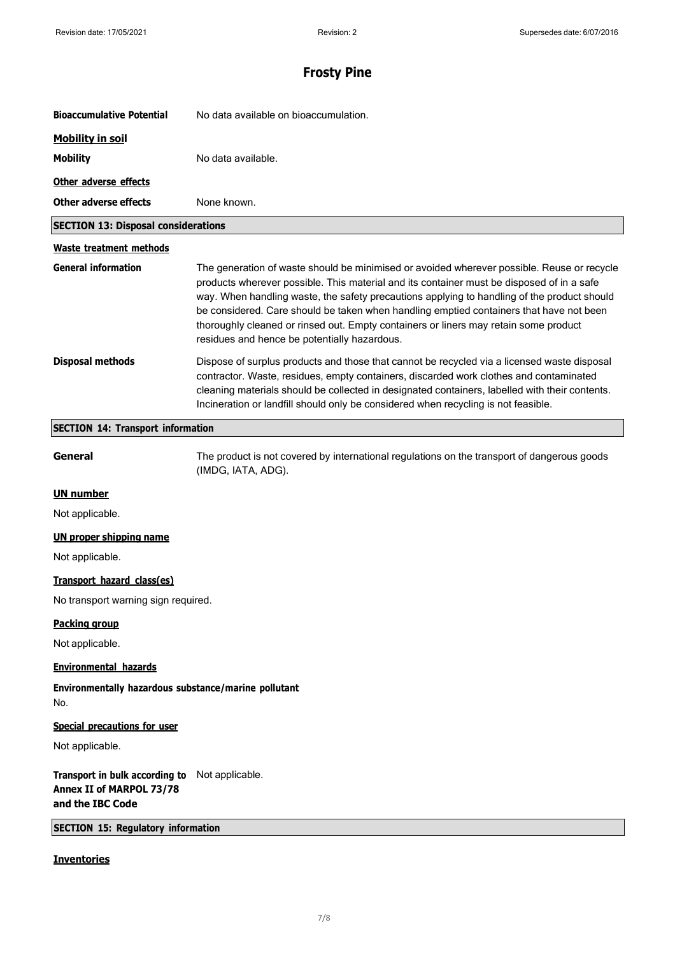| <b>Bioaccumulative Potential</b>                                               | No data available on bioaccumulation.                                                                                                                                                                                                                                                                                                                                                                                                                                                                                     |
|--------------------------------------------------------------------------------|---------------------------------------------------------------------------------------------------------------------------------------------------------------------------------------------------------------------------------------------------------------------------------------------------------------------------------------------------------------------------------------------------------------------------------------------------------------------------------------------------------------------------|
| <b>Mobility in soil</b>                                                        |                                                                                                                                                                                                                                                                                                                                                                                                                                                                                                                           |
| <b>Mobility</b>                                                                | No data available.                                                                                                                                                                                                                                                                                                                                                                                                                                                                                                        |
| Other adverse effects                                                          |                                                                                                                                                                                                                                                                                                                                                                                                                                                                                                                           |
| <b>Other adverse effects</b>                                                   | None known.                                                                                                                                                                                                                                                                                                                                                                                                                                                                                                               |
| <b>SECTION 13: Disposal considerations</b>                                     |                                                                                                                                                                                                                                                                                                                                                                                                                                                                                                                           |
| <b>Waste treatment methods</b>                                                 |                                                                                                                                                                                                                                                                                                                                                                                                                                                                                                                           |
| <b>General information</b>                                                     | The generation of waste should be minimised or avoided wherever possible. Reuse or recycle<br>products wherever possible. This material and its container must be disposed of in a safe<br>way. When handling waste, the safety precautions applying to handling of the product should<br>be considered. Care should be taken when handling emptied containers that have not been<br>thoroughly cleaned or rinsed out. Empty containers or liners may retain some product<br>residues and hence be potentially hazardous. |
| <b>Disposal methods</b>                                                        | Dispose of surplus products and those that cannot be recycled via a licensed waste disposal<br>contractor. Waste, residues, empty containers, discarded work clothes and contaminated<br>cleaning materials should be collected in designated containers, labelled with their contents.<br>Incineration or landfill should only be considered when recycling is not feasible.                                                                                                                                             |
| <b>SECTION 14: Transport information</b>                                       |                                                                                                                                                                                                                                                                                                                                                                                                                                                                                                                           |
| General                                                                        | The product is not covered by international regulations on the transport of dangerous goods<br>(IMDG, IATA, ADG).                                                                                                                                                                                                                                                                                                                                                                                                         |
| <b>UN number</b>                                                               |                                                                                                                                                                                                                                                                                                                                                                                                                                                                                                                           |
| Not applicable.                                                                |                                                                                                                                                                                                                                                                                                                                                                                                                                                                                                                           |
| <b>UN proper shipping name</b>                                                 |                                                                                                                                                                                                                                                                                                                                                                                                                                                                                                                           |
| Not applicable.                                                                |                                                                                                                                                                                                                                                                                                                                                                                                                                                                                                                           |
| Transport hazard class(es)                                                     |                                                                                                                                                                                                                                                                                                                                                                                                                                                                                                                           |
| No transport warning sign required.                                            |                                                                                                                                                                                                                                                                                                                                                                                                                                                                                                                           |
| <b>Packing group</b>                                                           |                                                                                                                                                                                                                                                                                                                                                                                                                                                                                                                           |
| Not applicable.                                                                |                                                                                                                                                                                                                                                                                                                                                                                                                                                                                                                           |
| <b>Environmental hazards</b>                                                   |                                                                                                                                                                                                                                                                                                                                                                                                                                                                                                                           |
| Environmentally hazardous substance/marine pollutant<br>No.                    |                                                                                                                                                                                                                                                                                                                                                                                                                                                                                                                           |
| Special precautions for user                                                   |                                                                                                                                                                                                                                                                                                                                                                                                                                                                                                                           |
| Not applicable.                                                                |                                                                                                                                                                                                                                                                                                                                                                                                                                                                                                                           |
| Transport in bulk according to<br>Annex II of MARPOL 73/78<br>and the IBC Code | Not applicable.                                                                                                                                                                                                                                                                                                                                                                                                                                                                                                           |
| <b>SECTION 15: Regulatory information</b>                                      |                                                                                                                                                                                                                                                                                                                                                                                                                                                                                                                           |
| <b>Inventories</b>                                                             |                                                                                                                                                                                                                                                                                                                                                                                                                                                                                                                           |